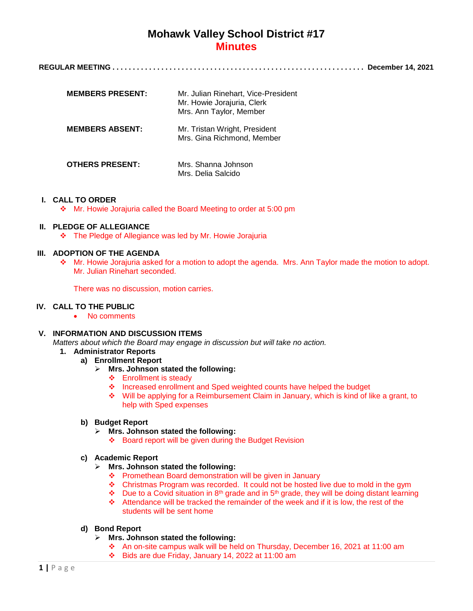**REGULAR MEETING . . . . . . . . . . . . . . . . . . . . . . . . . . . . . . . . . . . . . . . . . . . . . . . . . . . . . . . . . . . . . . December 14, 2021**

| <b>MEMBERS PRESENT:</b> | Mr. Julian Rinehart, Vice-President<br>Mr. Howie Jorajuria, Clerk<br>Mrs. Ann Taylor, Member |
|-------------------------|----------------------------------------------------------------------------------------------|
| <b>MEMBERS ABSENT:</b>  | Mr. Tristan Wright, President<br>Mrs. Gina Richmond, Member                                  |
| <b>OTHERS PRESENT:</b>  | Mrs. Shanna Johnson<br>Mrs. Delia Salcido                                                    |

# **I. CALL TO ORDER**

Mr. Howie Jorajuria called the Board Meeting to order at 5:00 pm

# **II. PLEDGE OF ALLEGIANCE**

The Pledge of Allegiance was led by Mr. Howie Jorajuria

# **III. ADOPTION OF THE AGENDA**

 Mr. Howie Jorajuria asked for a motion to adopt the agenda. Mrs. Ann Taylor made the motion to adopt. Mr. Julian Rinehart seconded.

There was no discussion, motion carries.

# **IV. CALL TO THE PUBLIC**

• No comments

# **V. INFORMATION AND DISCUSSION ITEMS**

*Matters about which the Board may engage in discussion but will take no action.*

- **1. Administrator Reports**
	- **a) Enrollment Report**
		- **Mrs. Johnson stated the following:**
			- **❖** Enrollment is steady
			- \* Increased enrollment and Sped weighted counts have helped the budget
			- Will be applying for a Reimbursement Claim in January, which is kind of like a grant, to help with Sped expenses

## **b) Budget Report**

- **Mrs. Johnson stated the following:**
	- ❖ Board report will be given during the Budget Revision

# **c) Academic Report**

- **Mrs. Johnson stated the following:**
	- Promethean Board demonstration will be given in January
	- Christmas Program was recorded. It could not be hosted live due to mold in the gym
	- Due to a Covid situation in 8<sup>th</sup> grade and in 5<sup>th</sup> grade, they will be doing distant learning
	- Attendance will be tracked the remainder of the week and if it is low, the rest of the students will be sent home

# **d) Bond Report**

- **Mrs. Johnson stated the following:**
	- An on-site campus walk will be held on Thursday, December 16, 2021 at 11:00 am
	- Bids are due Friday, January 14, 2022 at 11:00 am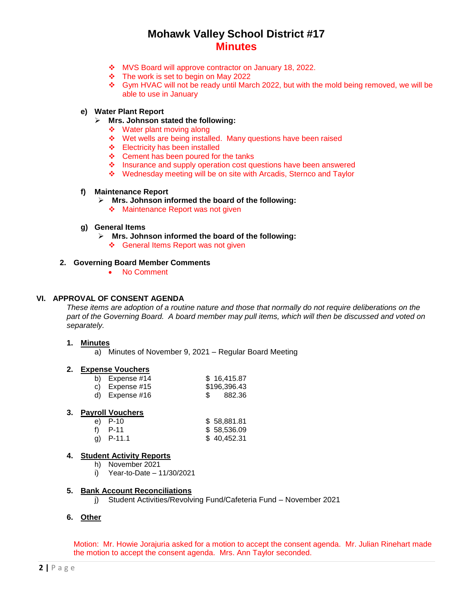- MVS Board will approve contractor on January 18, 2022.
- $\div$  The work is set to begin on May 2022
- Gym HVAC will not be ready until March 2022, but with the mold being removed, we will be able to use in January

# **e) Water Plant Report**

- **Mrs. Johnson stated the following:**
	- ❖ Water plant moving along
	- Wet wells are being installed. Many questions have been raised
	- Electricity has been installed
	- $\div$  Cement has been poured for the tanks
	- Insurance and supply operation cost questions have been answered
	- Wednesday meeting will be on site with Arcadis, Sternco and Taylor

## **f) Maintenance Report**

- **Mrs. Johnson informed the board of the following:**
	- ❖ Maintenance Report was not given

#### **g) General Items**

- **Mrs. Johnson informed the board of the following:**
	- ❖ General Items Report was not given

#### **2. Governing Board Member Comments**

No Comment

# **VI. APPROVAL OF CONSENT AGENDA**

*These items are adoption of a routine nature and those that normally do not require deliberations on the part of the Governing Board. A board member may pull items, which will then be discussed and voted on separately.*

#### **1. Minutes**

a) Minutes of November 9, 2021 – Regular Board Meeting

#### **2. Expense Vouchers**

| b) Expense $#14$ | \$16,415.87  |
|------------------|--------------|
| c) Expense $#15$ | \$196,396.43 |
| d) Expense $#16$ | 882.36       |

#### **3. Payroll Vouchers**

| e) P-10     | \$58,881.81 |
|-------------|-------------|
| f) $P-11$   | \$58,536.09 |
| g) $P-11.1$ | \$40,452.31 |

## **4. Student Activity Reports**

- h) November 2021
- i) Year-to-Date 11/30/2021

#### **5. Bank Account Reconciliations**

j) Student Activities/Revolving Fund/Cafeteria Fund – November 2021

## **6. Other**

Motion: Mr. Howie Jorajuria asked for a motion to accept the consent agenda. Mr. Julian Rinehart made the motion to accept the consent agenda. Mrs. Ann Taylor seconded.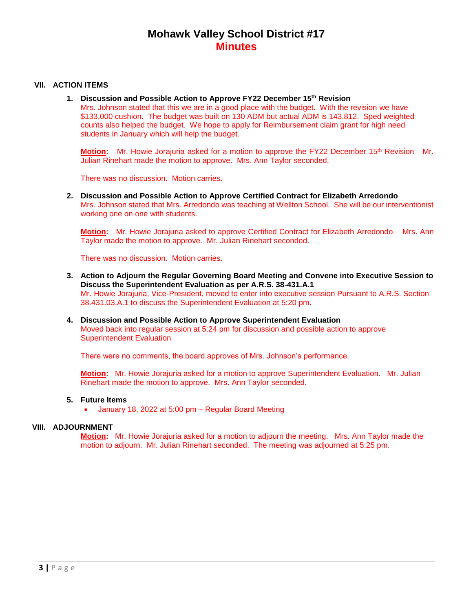# **VII. ACTION ITEMS**

**1. Discussion and Possible Action to Approve FY22 December 15th Revision** Mrs. Johnson stated that this we are in a good place with the budget. With the revision we have \$133,000 cushion. The budget was built on 130 ADM but actual ADM is 143.812. Sped weighted counts also helped the budget. We hope to apply for Reimbursement claim grant for high need students in January which will help the budget.

**Motion:** Mr. Howie Jorajuria asked for a motion to approve the FY22 December 15<sup>th</sup> Revision Mr. Julian Rinehart made the motion to approve. Mrs. Ann Taylor seconded.

There was no discussion. Motion carries.

**2. Discussion and Possible Action to Approve Certified Contract for Elizabeth Arredondo** Mrs. Johnson stated that Mrs. Arredondo was teaching at Wellton School. She will be our interventionist working one on one with students.

**Motion:** Mr. Howie Jorajuria asked to approve Certified Contract for Elizabeth Arredondo. Mrs. Ann Taylor made the motion to approve. Mr. Julian Rinehart seconded.

There was no discussion. Motion carries.

- **3. Action to Adjourn the Regular Governing Board Meeting and Convene into Executive Session to Discuss the Superintendent Evaluation as per A.R.S. 38-431.A.1** Mr. Howie Jorajuria, Vice-President, moved to enter into executive session Pursuant to A.R.S. Section 38.431.03.A.1 to discuss the Superintendent Evaluation at 5:20 pm.
- **4. Discussion and Possible Action to Approve Superintendent Evaluation** Moved back into regular session at 5:24 pm for discussion and possible action to approve Superintendent Evaluation

There were no comments, the board approves of Mrs. Johnson's performance.

**Motion:** Mr. Howie Jorajuria asked for a motion to approve Superintendent Evaluation. Mr. Julian Rinehart made the motion to approve. Mrs. Ann Taylor seconded.

## **5. Future Items**

January 18, 2022 at 5:00 pm – Regular Board Meeting

## **VIII. ADJOURNMENT**

**Motion:** Mr. Howie Jorajuria asked for a motion to adjourn the meeting. Mrs. Ann Taylor made the motion to adjourn. Mr. Julian Rinehart seconded. The meeting was adjourned at 5:25 pm.